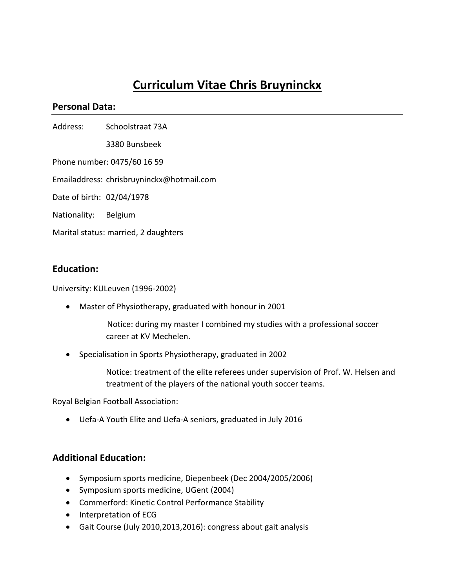# **Curriculum Vitae Chris Bruyninckx**

#### **Personal Data:**

Address: Schoolstraat 73A

 3380 Bunsbeek 

Phone number: 0475/60 16 59

Emailaddress: chrisbruyninckx@hotmail.com

Date of birth: 02/04/1978

Nationality: Belgium

Marital status: married, 2 daughters

#### **Education:**

University: KULeuven (1996-2002)

• Master of Physiotherapy, graduated with honour in 2001

Notice: during my master I combined my studies with a professional soccer career at KV Mechelen.

• Specialisation in Sports Physiotherapy, graduated in 2002

Notice: treatment of the elite referees under supervision of Prof. W. Helsen and treatment of the players of the national youth soccer teams.

Royal Belgian Football Association:

• Uefa-A Youth Elite and Uefa-A seniors, graduated in July 2016

#### **Additional Education:**

- Symposium sports medicine, Diepenbeek (Dec 2004/2005/2006)
- Symposium sports medicine, UGent (2004)
- Commerford: Kinetic Control Performance Stability
- Interpretation of ECG
- Gait Course (July 2010,2013,2016): congress about gait analysis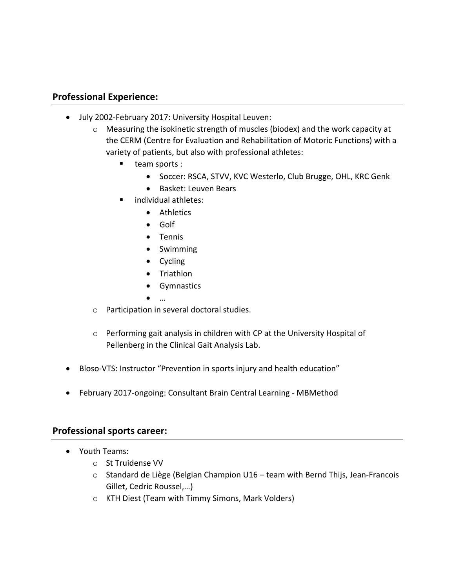## **Professional Experience:**

- July 2002-February 2017: University Hospital Leuven:
	- $\circ$  Measuring the isokinetic strength of muscles (biodex) and the work capacity at the CERM (Centre for Evaluation and Rehabilitation of Motoric Functions) with a variety of patients, but also with professional athletes:
		- team sports :
			- Soccer: RSCA, STVV, KVC Westerlo, Club Brugge, OHL, KRC Genk
			- Basket: Leuven Bears
		- individual athletes:
			- Athletics
			- Golf
			- Tennis
			- Swimming
			- Cycling
			- Triathlon
			- Gymnastics
			- …
	- $\circ$  Participation in several doctoral studies.
	- $\circ$  Performing gait analysis in children with CP at the University Hospital of Pellenberg in the Clinical Gait Analysis Lab.
- Bloso-VTS: Instructor "Prevention in sports injury and health education"
- February 2017-ongoing: Consultant Brain Central Learning MBMethod

### **Professional sports career:**

- Youth Teams:
	- o St Truidense VV
	- $\circ$  Standard de Liège (Belgian Champion U16 team with Bernd Thijs, Jean-Francois Gillet, Cedric Roussel,...)
	- o KTH Diest (Team with Timmy Simons, Mark Volders)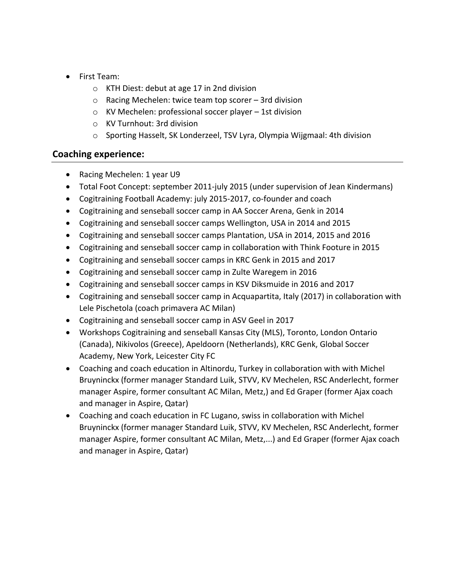- First Team:
	- $\circ$  KTH Diest: debut at age 17 in 2nd division
	- $\circ$  Racing Mechelen: twice team top scorer 3rd division
	- $\circ$  KV Mechelen: professional soccer player 1st division
	- $\circ$  KV Turnhout: 3rd division
	- $\circ$  Sporting Hasselt, SK Londerzeel, TSV Lyra, Olympia Wijgmaal: 4th division

## **Coaching experience:**

- Racing Mechelen: 1 year U9
- Total Foot Concept: september 2011-july 2015 (under supervision of Jean Kindermans)
- Cogitraining Football Academy: july 2015-2017, co-founder and coach
- Cogitraining and senseball soccer camp in AA Soccer Arena, Genk in 2014
- Cogitraining and senseball soccer camps Wellington, USA in 2014 and 2015
- Cogitraining and senseball soccer camps Plantation, USA in 2014, 2015 and 2016
- Cogitraining and senseball soccer camp in collaboration with Think Footure in 2015
- Cogitraining and senseball soccer camps in KRC Genk in 2015 and 2017
- Cogitraining and senseball soccer camp in Zulte Waregem in 2016
- Cogitraining and senseball soccer camps in KSV Diksmuide in 2016 and 2017
- Cogitraining and senseball soccer camp in Acquapartita, Italy (2017) in collaboration with Lele Pischetola (coach primavera AC Milan)
- Cogitraining and senseball soccer camp in ASV Geel in 2017
- Workshops Cogitraining and senseball Kansas City (MLS), Toronto, London Ontario (Canada), Nikivolos (Greece), Apeldoorn (Netherlands), KRC Genk, Global Soccer Academy, New York, Leicester City FC
- Coaching and coach education in Altinordu, Turkey in collaboration with with Michel Bruyninckx (former manager Standard Luik, STVV, KV Mechelen, RSC Anderlecht, former manager Aspire, former consultant AC Milan, Metz,) and Ed Graper (former Ajax coach and manager in Aspire, Qatar)
- Coaching and coach education in FC Lugano, swiss in collaboration with Michel Bruyninckx (former manager Standard Luik, STVV, KV Mechelen, RSC Anderlecht, former manager Aspire, former consultant AC Milan, Metz,...) and Ed Graper (former Ajax coach and manager in Aspire, Qatar)